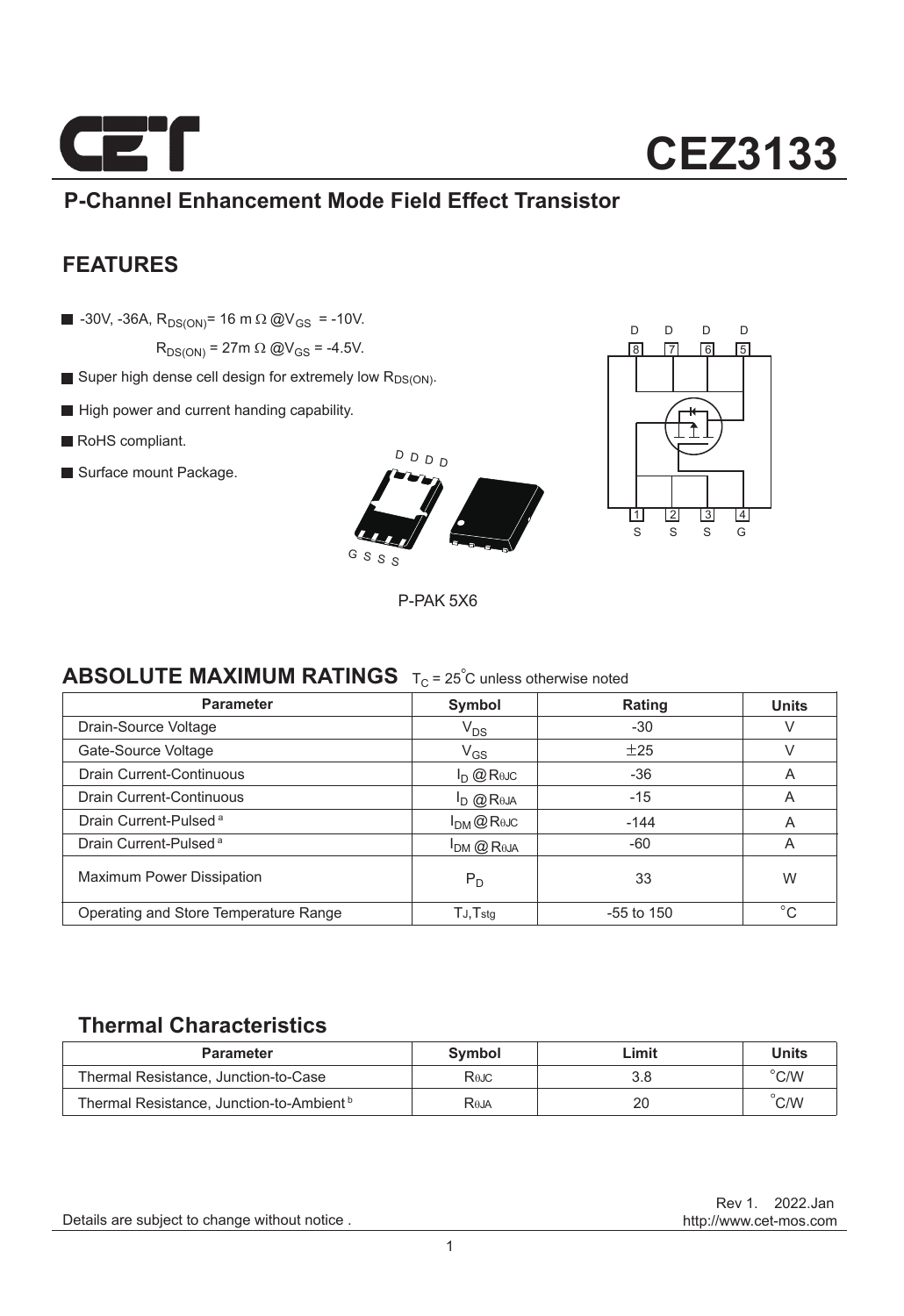

## **P-Channel Enhancement Mode Field Effect Transistor**

### **FEATURES**

 $\blacksquare$  -30V, -36A, R<sub>DS(ON)</sub>= 16 m  $\Omega$  @V<sub>GS</sub> = -10V.

 $R_{DS(ON)}$  = 27m  $\Omega$  @V<sub>GS</sub> = -4.5V.

- Super high dense cell design for extremely low  $R_{DS(ON)}$ .
- High power and current handing capability.
- RoHS compliant.
- Surface mount Package.





P-PAK 5X6

### **ABSOLUTE MAXIMUM RATINGS**  $T_C = 25^\circ$ C unless otherwise noted

| <b>Parameter</b>                      | Symbol                                                     | Rating       | <b>Units</b> |
|---------------------------------------|------------------------------------------------------------|--------------|--------------|
| Drain-Source Voltage                  | $V_{DS}$                                                   | $-30$        | V            |
| Gate-Source Voltage                   | $V_{GS}$                                                   | ±25          | V            |
| Drain Current-Continuous              | $I_D$ @ Rejc                                               | $-36$        | A            |
| Drain Current-Continuous              | $I_{\text{D}}$ $\omega$ R <sub><math>\theta</math>JA</sub> | $-15$        | A            |
| Drain Current-Pulsed <sup>a</sup>     | $I_{DM}$ $@$ Rejc                                          | $-144$       | A            |
| Drain Current-Pulsed <sup>a</sup>     | $I_{DM}$ $@$ R <sub><math>0</math>JA</sub>                 | $-60$        | A            |
| <b>Maximum Power Dissipation</b>      | $P_D$                                                      | 33           | W            |
| Operating and Store Temperature Range | $TJ$ , $Tstq$                                              | $-55$ to 150 | $^{\circ}C$  |

### **Thermal Characteristics**

| <b>Parameter</b>                                     | Symbol | Limit | <b>Units</b>   |
|------------------------------------------------------|--------|-------|----------------|
| Thermal Resistance, Junction-to-Case                 | RθJC   | 3.8   | $^{\circ}$ C/W |
| Thermal Resistance, Junction-to-Ambient <sup>b</sup> | Raja   | 20    | C/W            |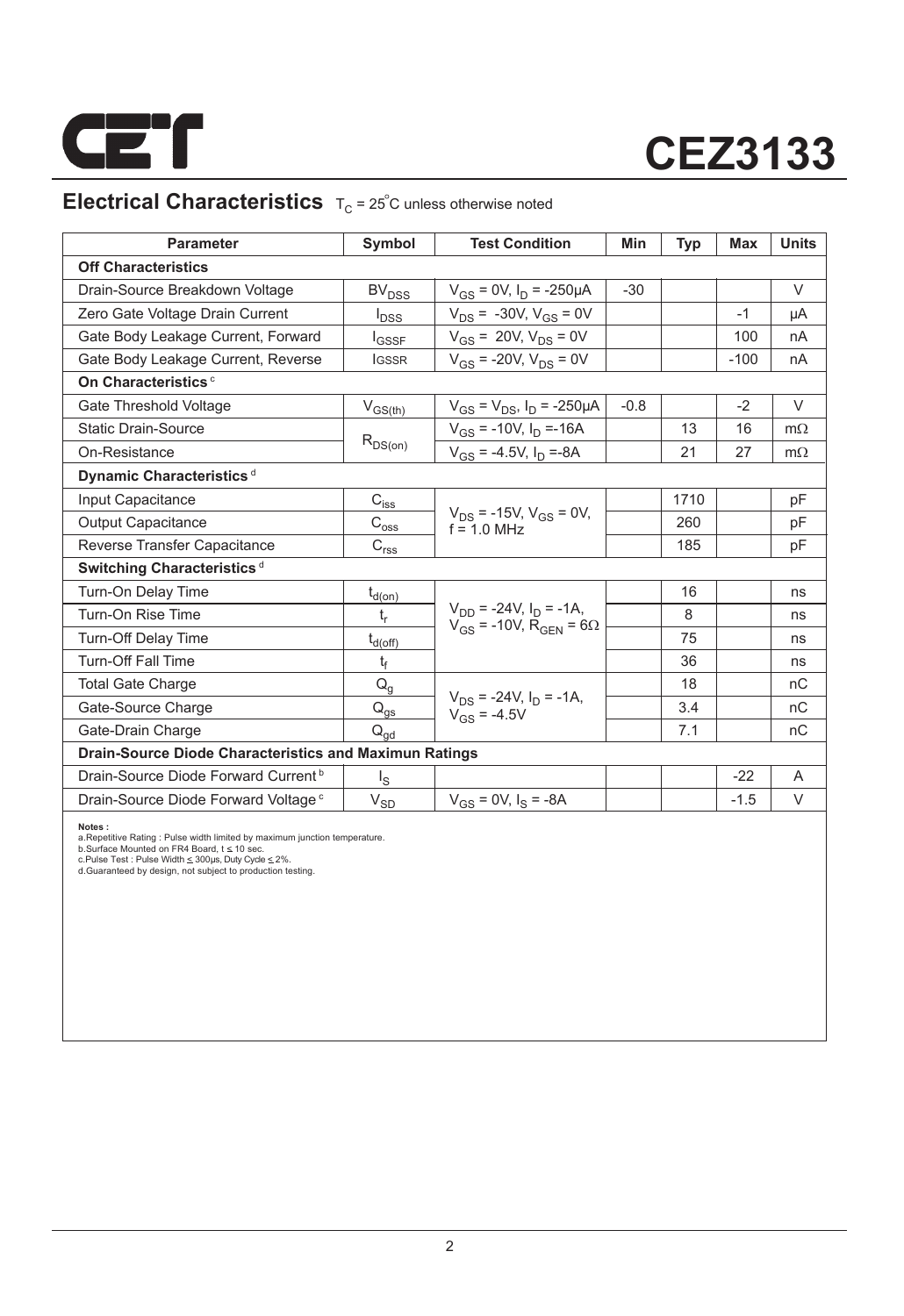

# **CEZ3133**

## **Electrical Characteristics**  $T_C = 25^\circ$ C unless otherwise noted

| <b>Parameter</b>                                              | Symbol                                                                | <b>Test Condition</b>                                                           | Min    | <b>Typ</b> | Max    | <b>Units</b> |
|---------------------------------------------------------------|-----------------------------------------------------------------------|---------------------------------------------------------------------------------|--------|------------|--------|--------------|
| <b>Off Characteristics</b>                                    |                                                                       |                                                                                 |        |            |        |              |
| Drain-Source Breakdown Voltage                                | <b>BV<sub>DSS</sub></b>                                               | $V_{GS}$ = 0V, $I_D$ = -250µA                                                   | $-30$  |            |        | $\vee$       |
| Zero Gate Voltage Drain Current                               | $I_{\text{DSS}}$                                                      | $V_{DS}$ = -30V, $V_{GS}$ = 0V                                                  |        |            | $-1$   | μA           |
| Gate Body Leakage Current, Forward                            | <b>I</b> GSSF                                                         | $V_{GS}$ = 20V, $V_{DS}$ = 0V                                                   |        |            | 100    | nA           |
| Gate Body Leakage Current, Reverse                            | <b>IGSSR</b>                                                          | $V_{GS}$ = -20V, $V_{DS}$ = 0V                                                  |        |            | $-100$ | nA           |
| On Characteristics <sup>c</sup>                               |                                                                       |                                                                                 |        |            |        |              |
| Gate Threshold Voltage                                        | $V_{GS(th)}$                                                          | $V_{GS} = V_{DS}$ , $I_D = -250 \mu A$                                          | $-0.8$ |            | $-2$   | V            |
| <b>Static Drain-Source</b>                                    |                                                                       | $V_{GS}$ = -10V, $I_D$ =-16A                                                    |        | 13         | 16     | $m\Omega$    |
| On-Resistance                                                 | $R_{DS(on)}$                                                          | $V_{GS}$ = -4.5V, $I_D$ =-8A                                                    |        | 21         | 27     | $m\Omega$    |
| Dynamic Characteristics <sup>d</sup>                          |                                                                       |                                                                                 |        |            |        |              |
| Input Capacitance                                             | $\mathsf{C}_{i \underline{s} \underline{s}}$                          |                                                                                 |        | 1710       |        | рF           |
| <b>Output Capacitance</b>                                     | $C_{\text{oss}}$                                                      | $V_{DS}$ = -15V, $V_{GS}$ = 0V,<br>$f = 10$ MHz                                 |        | 260        |        | pF           |
| Reverse Transfer Capacitance                                  | $\mathsf{C}_{\mathsf{r}\underline{\mathsf{s}}\underline{\mathsf{s}}}$ |                                                                                 |        | 185        |        | pF           |
| Switching Characteristics <sup>d</sup>                        |                                                                       |                                                                                 |        |            |        |              |
| Turn-On Delay Time                                            | $t_{d(on)}$                                                           |                                                                                 |        | 16         |        | ns           |
| Turn-On Rise Time                                             | $t_r$                                                                 | $V_{DD}$ = -24V, $I_D$ = -1A,<br>$V_{GS}$ = -10V, R <sub>GEN</sub> = 6 $\Omega$ |        | 8          |        | ns           |
| <b>Turn-Off Delay Time</b>                                    | $t_{d(\rm off)}$                                                      |                                                                                 |        | 75         |        | ns           |
| <b>Turn-Off Fall Time</b>                                     | t                                                                     |                                                                                 |        | 36         |        | ns           |
| <b>Total Gate Charge</b>                                      | $Q_g$                                                                 |                                                                                 |        | 18         |        | nC           |
| Gate-Source Charge                                            | $\mathsf{Q}_{\underline{\mathsf{g}\mathsf{s}}}$                       | $V_{DS}$ = -24V, $I_D$ = -1A,<br>$V_{GS} = -4.5V$                               |        | 3.4        |        | nC           |
| Gate-Drain Charge                                             | $Q_{qd}$                                                              |                                                                                 |        | 7.1        |        | nC           |
| <b>Drain-Source Diode Characteristics and Maximun Ratings</b> |                                                                       |                                                                                 |        |            |        |              |
| Drain-Source Diode Forward Current <sup>b</sup>               | اچ                                                                    |                                                                                 |        |            | $-22$  | A            |
| Drain-Source Diode Forward Voltage <sup>c</sup>               | $\rm V_{SD}$                                                          | $V_{GS} = 0V$ , $I_S = -8A$                                                     |        |            | $-1.5$ | V            |

**Notes :**<br>a.Repetitive Rating : Pulse width limited by maximum junction temperature.<br>b.Surface Mounted on FR4 Board, t ≤ 10 sec.<br>c.Pulse Test : Pluse Width ≤ 300µs, Duty Cyde ≤ 2%.<br>d.Guaranteed by design, not subject to p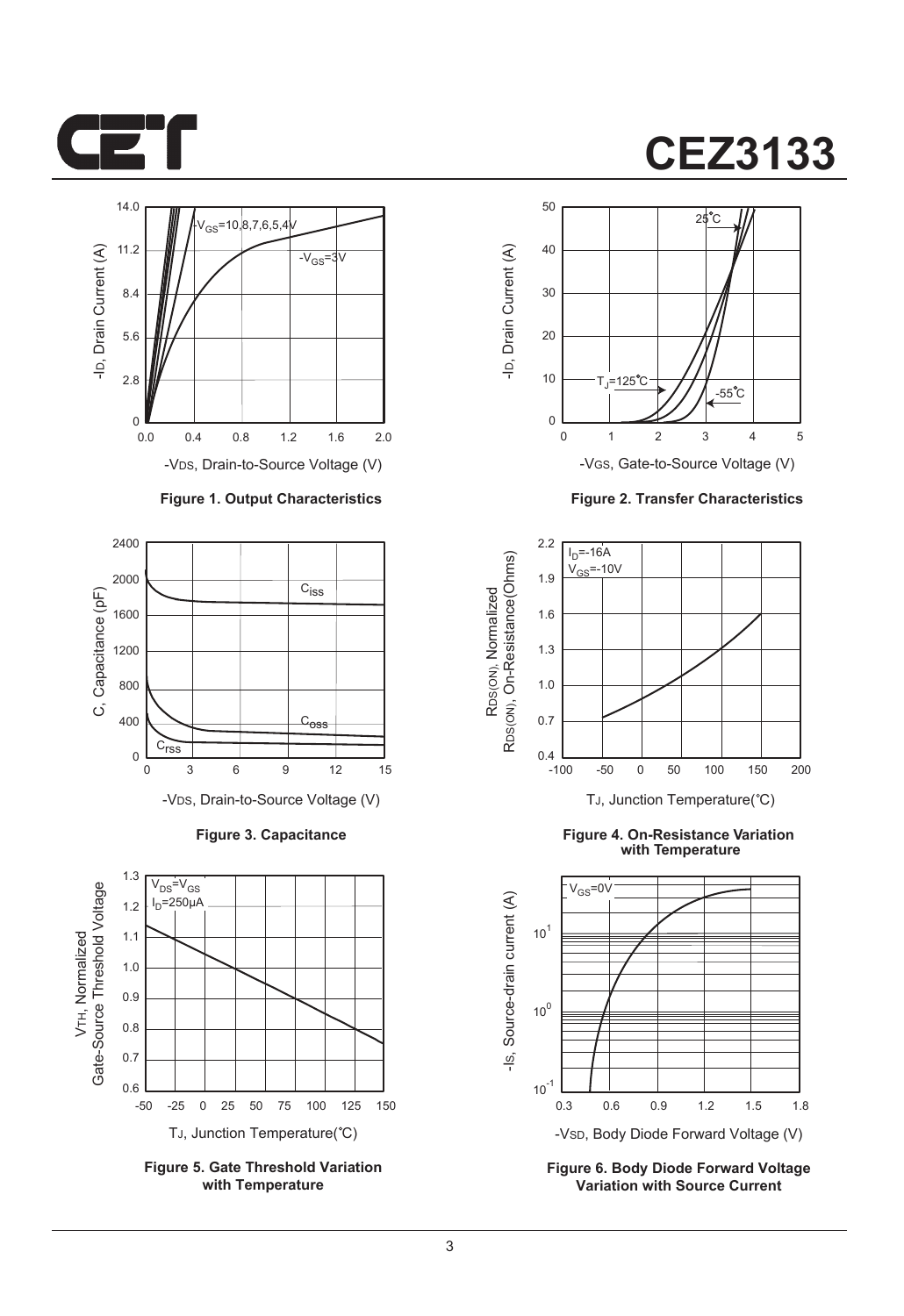



#### **Figure 1. Output Characteristics**



**Figure 3. Capacitance**



**Figure 5. Gate Threshold Variation with Temperature**

# **CEZ3133**



**Figure 2. Transfer Characteristics**



**Figure 4. On-Resistance Variation with Temperature**



**Figure 6. Body Diode Forward Voltage Variation with Source Current**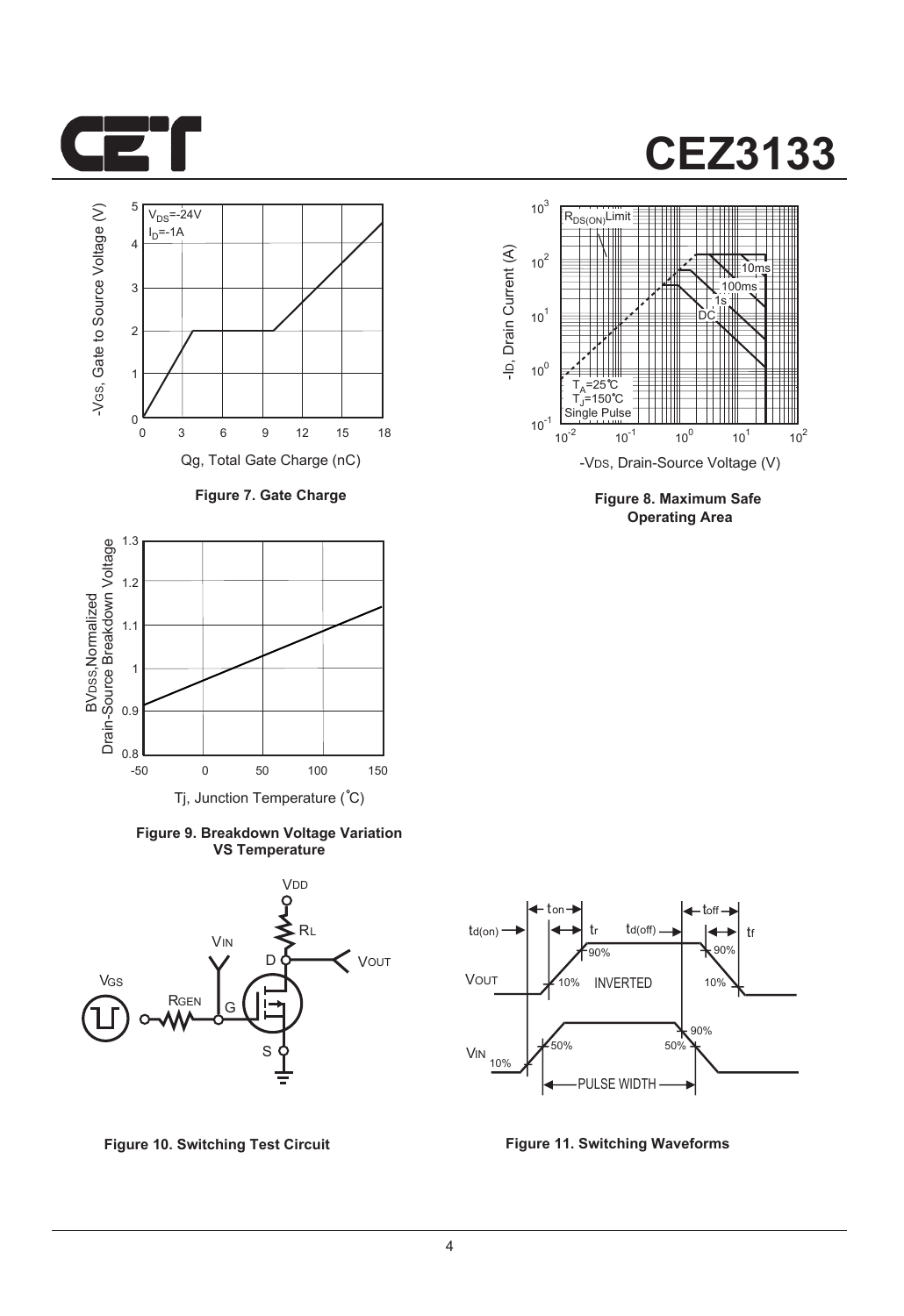

# **CEZ3133**



**Figure 7. Gate Charge**



**Figure 9. Breakdown Voltage Variation VS Temperature**





**Figure 8. Maximum Safe Operating Area**



**Figure 10. Switching Test Circuit Figure 11. Switching Waveforms**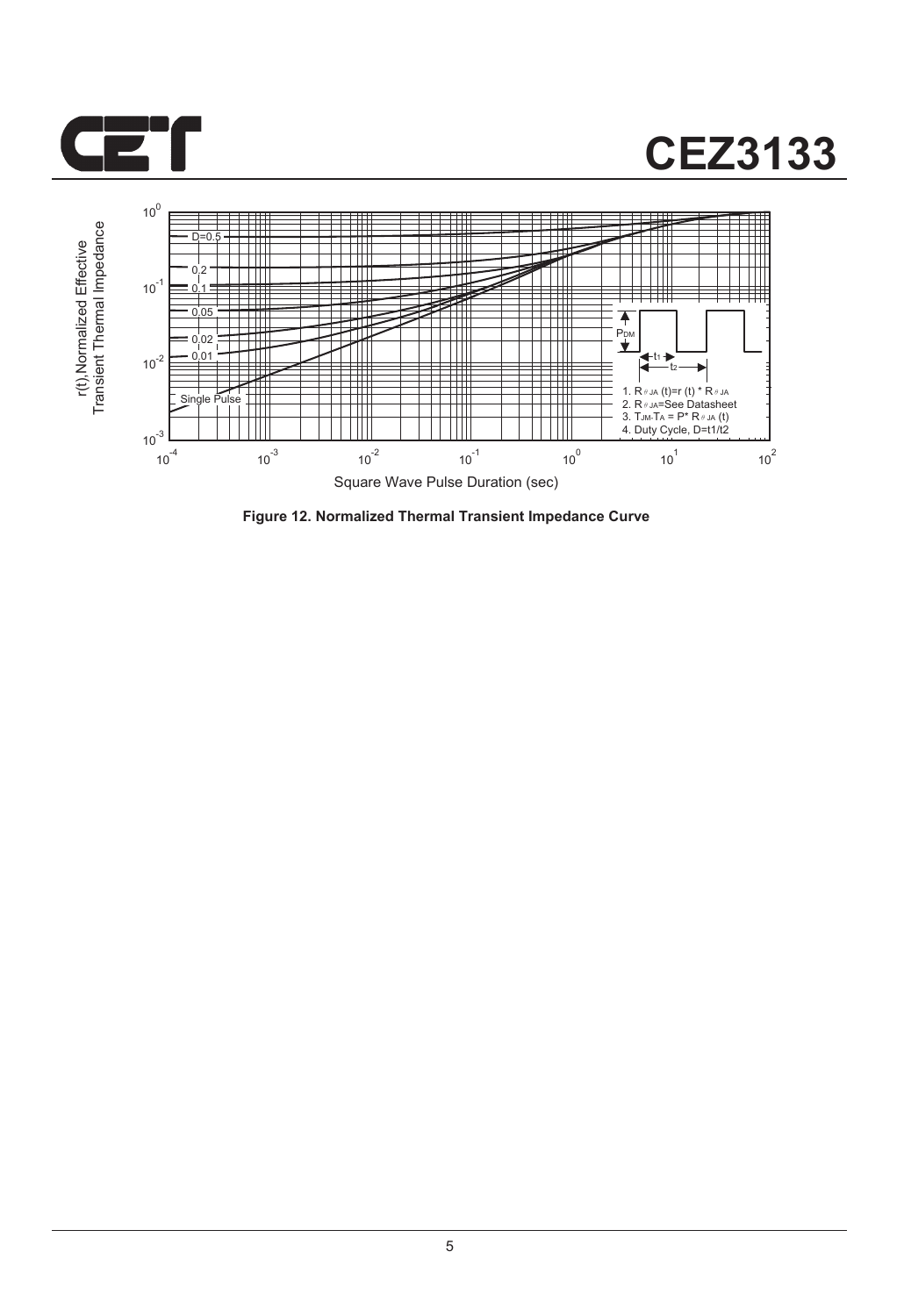

## **CEZ3133**



**Figure 12. Normalized Thermal Transient Impedance Curve**